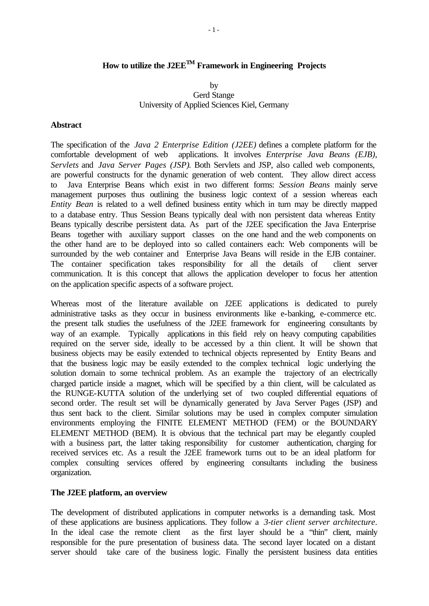### **How to utilize the J2EETM Framework in Engineering Projects**

#### by Gerd Stange University of Applied Sciences Kiel, Germany

#### **Abstract**

The specification of the *Java 2 Enterprise Edition (J2EE)* defines a complete platform for the comfortable development of web applications. It involves *Enterprise Java Beans (EJB)*, *Servlets* and *Java Server Pages (JSP)*. Both Servlets and JSP, also called web components, are powerful constructs for the dynamic generation of web content. They allow direct access to Java Enterprise Beans which exist in two different forms: *Session Beans* mainly serve management purposes thus outlining the business logic context of a session whereas each *Entity Bean* is related to a well defined business entity which in turn may be directly mapped to a database entry. Thus Session Beans typically deal with non persistent data whereas Entity Beans typically describe persistent data. As part of the J2EE specification the Java Enterprise Beans together with auxiliary support classes on the one hand and the web components on the other hand are to be deployed into so called containers each: Web components will be surrounded by the web container and Enterprise Java Beans will reside in the EJB container. The container specification takes responsibility for all the details of client server communication. It is this concept that allows the application developer to focus her attention on the application specific aspects of a software project.

Whereas most of the literature available on J2EE applications is dedicated to purely administrative tasks as they occur in business environments like e-banking, e-commerce etc. the present talk studies the usefulness of the J2EE framework for engineering consultants by way of an example. Typically applications in this field rely on heavy computing capabilities required on the server side, ideally to be accessed by a thin client. It will be shown that business objects may be easily extended to technical objects represented by Entity Beans and that the business logic may be easily extended to the complex technical logic underlying the solution domain to some technical problem. As an example the trajectory of an electrically charged particle inside a magnet, which will be specified by a thin client, will be calculated as the RUNGE-KUTTA solution of the underlying set of two coupled differential equations of second order. The result set will be dynamically generated by Java Server Pages (JSP) and thus sent back to the client. Similar solutions may be used in complex computer simulation environments employing the FINITE ELEMENT METHOD (FEM) or the BOUNDARY ELEMENT METHOD (BEM). It is obvious that the technical part may be elegantly coupled with a business part, the latter taking responsibility for customer authentication, charging for received services etc. As a result the J2EE framework turns out to be an ideal platform for complex consulting services offered by engineering consultants including the business organization.

#### **The J2EE platform, an overview**

The development of distributed applications in computer networks is a demanding task. Most of these applications are business applications. They follow a *3-tier client server architecture*. In the ideal case the remote client as the first layer should be a "thin" client, mainly responsible for the pure presentation of business data. The second layer located on a distant server should take care of the business logic. Finally the persistent business data entities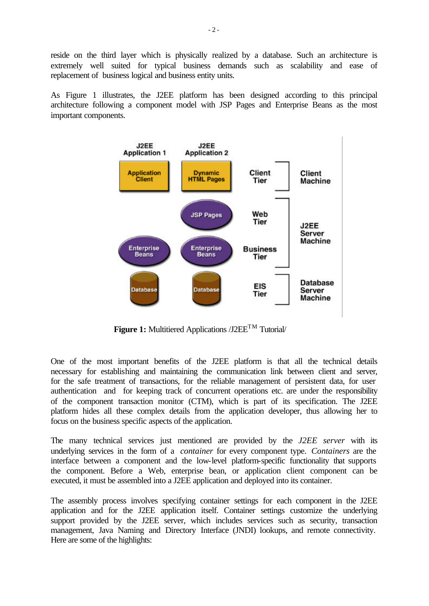reside on the third layer which is physically realized by a database. Such an architecture is extremely well suited for typical business demands such as scalability and ease of replacement of business logical and business entity units.

As Figure 1 illustrates, the J2EE platform has been designed according to this principal architecture following a component model with JSP Pages and Enterprise Beans as the most important components.



**Figure 1:** Multitiered Applications /J2EE<sup>TM</sup> Tutorial/

One of the most important benefits of the J2EE platform is that all the technical details necessary for establishing and maintaining the communication link between client and server, for the safe treatment of transactions, for the reliable management of persistent data, for user authentication and for keeping track of concurrent operations etc. are under the responsibility of the component transaction monitor (CTM), which is part of its specification. The J2EE platform hides all these complex details from the application developer, thus allowing her to focus on the business specific aspects of the application.

The many technical services just mentioned are provided by the *J2EE server* with its underlying services in the form of a *container* for every component type. *Containers* are the interface between a component and the low-level platform-specific functionality that supports the component. Before a Web, enterprise bean, or application client component can be executed, it must be assembled into a J2EE application and deployed into its container.

The assembly process involves specifying container settings for each component in the J2EE application and for the J2EE application itself. Container settings customize the underlying support provided by the J2EE server, which includes services such as security, transaction management, Java Naming and Directory Interface (JNDI) lookups, and remote connectivity. Here are some of the highlights: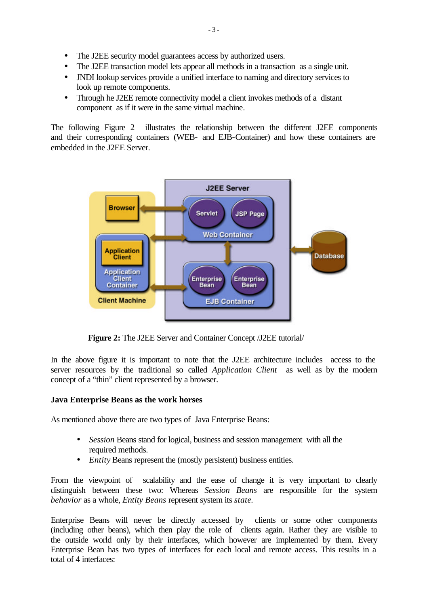- The J2EE security model guarantees access by authorized users.
- The J2EE transaction model lets appear all methods in a transaction as a single unit.
- JNDI lookup services provide a unified interface to naming and directory services to look up remote components.
- Through he J2EE remote connectivity model a client invokes methods of a distant component as if it were in the same virtual machine.

The following Figure 2 illustrates the relationship between the different J2EE components and their corresponding containers (WEB- and EJB-Container) and how these containers are embedded in the J2EE Server.



**Figure 2:** The J2EE Server and Container Concept /J2EE tutorial/

In the above figure it is important to note that the J2EE architecture includes access to the server resources by the traditional so called *Application Client* as well as by the modern concept of a "thin" client represented by a browser.

#### **Java Enterprise Beans as the work horses**

As mentioned above there are two types of Java Enterprise Beans:

- *Session* Beans stand for logical, business and session management with all the required methods.
- *Entity* Beans represent the (mostly persistent) business entities.

From the viewpoint of scalability and the ease of change it is very important to clearly distinguish between these two: Whereas *Session Beans* are responsible for the system *behavior* as a whole, *Entity Beans* represent system its *state*.

Enterprise Beans will never be directly accessed by clients or some other components (including other beans), which then play the role of clients again. Rather they are visible to the outside world only by their interfaces, which however are implemented by them. Every Enterprise Bean has two types of interfaces for each local and remote access. This results in a total of 4 interfaces: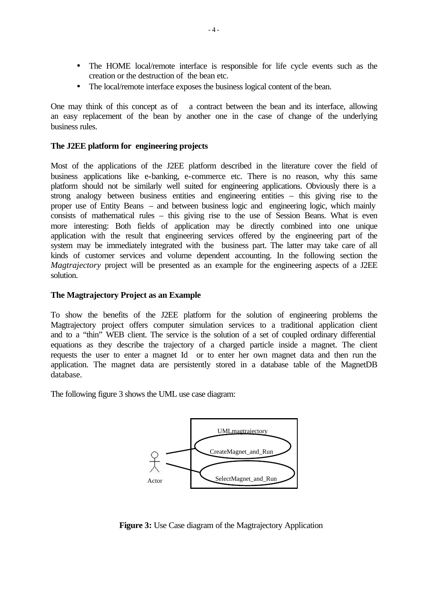- The HOME local/remote interface is responsible for life cycle events such as the creation or the destruction of the bean etc.
- The local/remote interface exposes the business logical content of the bean.

One may think of this concept as of a contract between the bean and its interface, allowing an easy replacement of the bean by another one in the case of change of the underlying business rules.

#### **The J2EE platform for engineering projects**

Most of the applications of the J2EE platform described in the literature cover the field of business applications like e-banking, e-commerce etc. There is no reason, why this same platform should not be similarly well suited for engineering applications. Obviously there is a strong analogy between business entities and engineering entities – this giving rise to the proper use of Entity Beans – and between business logic and engineering logic, which mainly consists of mathematical rules – this giving rise to the use of Session Beans. What is even more interesting: Both fields of application may be directly combined into one unique application with the result that engineering services offered by the engineering part of the system may be immediately integrated with the business part. The latter may take care of all kinds of customer services and volume dependent accounting. In the following section the *Magtrajectory* project will be presented as an example for the engineering aspects of a J2EE solution.

#### **The Magtrajectory Project as an Example**

To show the benefits of the J2EE platform for the solution of engineering problems the Magtrajectory project offers computer simulation services to a traditional application client and to a "thin" WEB client. The service is the solution of a set of coupled ordinary differential equations as they describe the trajectory of a charged particle inside a magnet. The client requests the user to enter a magnet Id or to enter her own magnet data and then run the application. The magnet data are persistently stored in a database table of the MagnetDB database.

The following figure 3 shows the UML use case diagram:



**Figure 3:** Use Case diagram of the Magtrajectory Application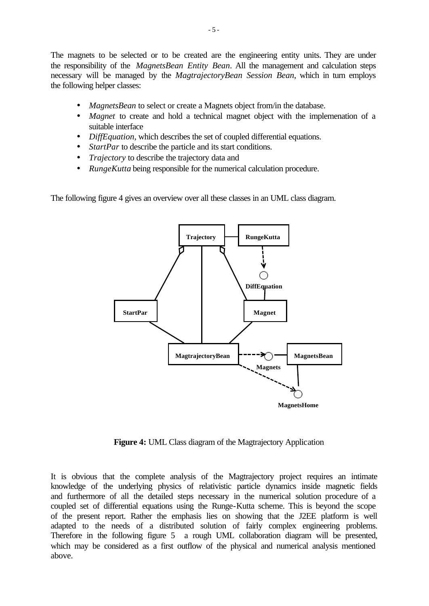The magnets to be selected or to be created are the engineering entity units. They are under the responsibility of the *MagnetsBean Entity Bean*. All the management and calculation steps necessary will be managed by the *MagtrajectoryBean Session Bean*, which in turn employs the following helper classes:

- *MagnetsBean* to select or create a Magnets object from/in the database.
- *Magnet* to create and hold a technical magnet object with the implemenation of a suitable interface
- *DiffEquation*, which describes the set of coupled differential equations.
- *StartPar* to describe the particle and its start conditions.
- *Trajectory* to describe the trajectory data and
- *RungeKutta* being responsible for the numerical calculation procedure.

The following figure 4 gives an overview over all these classes in an UML class diagram.



**Figure 4:** UML Class diagram of the Magtrajectory Application

It is obvious that the complete analysis of the Magtrajectory project requires an intimate knowledge of the underlying physics of relativistic particle dynamics inside magnetic fields and furthermore of all the detailed steps necessary in the numerical solution procedure of a coupled set of differential equations using the Runge-Kutta scheme. This is beyond the scope of the present report. Rather the emphasis lies on showing that the J2EE platform is well adapted to the needs of a distributed solution of fairly complex engineering problems. Therefore in the following figure 5 a rough UML collaboration diagram will be presented, which may be considered as a first outflow of the physical and numerical analysis mentioned above.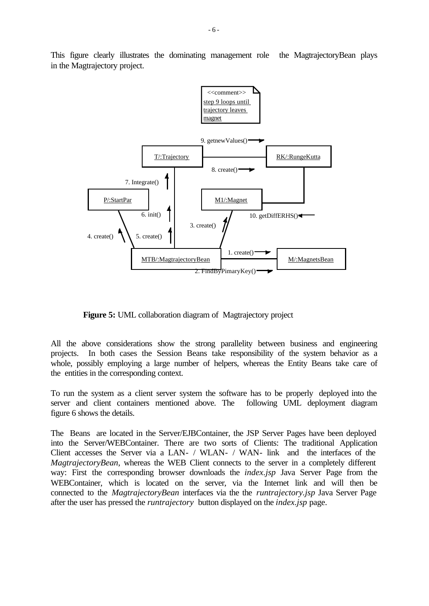

This figure clearly illustrates the dominating management role the MagtrajectoryBean plays in the Magtrajectory project.

**Figure 5:** UML collaboration diagram of Magtrajectory project

All the above considerations show the strong parallelity between business and engineering projects. In both cases the Session Beans take responsibility of the system behavior as a whole, possibly employing a large number of helpers, whereas the Entity Beans take care of the entities in the corresponding context.

To run the system as a client server system the software has to be properly deployed into the server and client containers mentioned above. The following UML deployment diagram figure 6 shows the details.

The Beans are located in the Server/EJBContainer, the JSP Server Pages have been deployed into the Server/WEBContainer. There are two sorts of Clients: The traditional Application Client accesses the Server via a LAN- / WLAN- / WAN- link and the interfaces of the *MagtrajectoryBean*, whereas the WEB Client connects to the server in a completely different way: First the corresponding browser downloads the *index.jsp* Java Server Page from the WEBContainer, which is located on the server, via the Internet link and will then be connected to the *MagtrajectoryBean* interfaces via the the *runtrajectory.jsp* Java Server Page after the user has pressed the *runtrajectory* button displayed on the *index.jsp* page.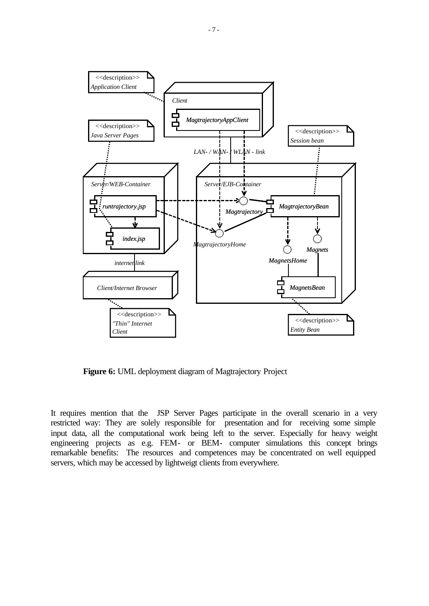

**Figure 6:** UML deployment diagram of Magtrajectory Project

It requires mention that the JSP Server Pages participate in the overall scenario in a very restricted way: They are solely responsible for presentation and for receiving some simple input data, all the computational work being left to the server. Especially for heavy weight engineering projects as e.g. FEM- or BEM- computer simulations this concept brings remarkable benefits: The resources and competences may be concentrated on well equipped servers, which may be accessed by lightweigt clients from everywhere.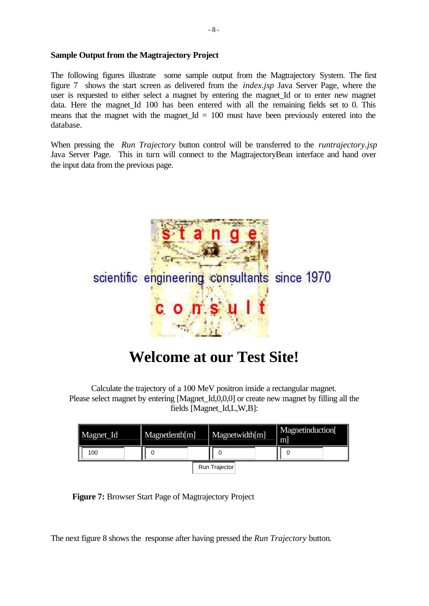#### **Sample Output from the Magtrajectory Project**

The following figures illustrate some sample output from the Magtrajectory System. The first figure 7 shows the start screen as delivered from the *index.jsp* Java Server Page, where the user is requested to either select a magnet by entering the magnet\_Id or to enter new magnet data. Here the magnet\_Id 100 has been entered with all the remaining fields set to 0. This means that the magnet with the magnet\_Id  $= 100$  must have been previously entered into the database.

When pressing the *Run Trajectory* button control will be transferred to the *runtrajectory.jsp* Java Server Page. This in turn will connect to the MagtrajectoryBean interface and hand over the input data from the previous page.



## **Welcome at our Test Site!**

Calculate the trajectory of a 100 MeV positron inside a rectangular magnet. Please select magnet by entering [Magnet Id,0,0,0] or create new magnet by filling all the fields [Magnet\_Id,L,W,B]:

| Magnet_Id            | Magnetlenth[m] | Magnetwidth[m] | Magnetinduction<br>m |
|----------------------|----------------|----------------|----------------------|
| 100                  |                |                |                      |
| <b>Run Trajector</b> |                |                |                      |

**Figure 7:** Browser Start Page of Magtrajectory Project

The next figure 8 shows the response after having pressed the *Run Trajectory* button.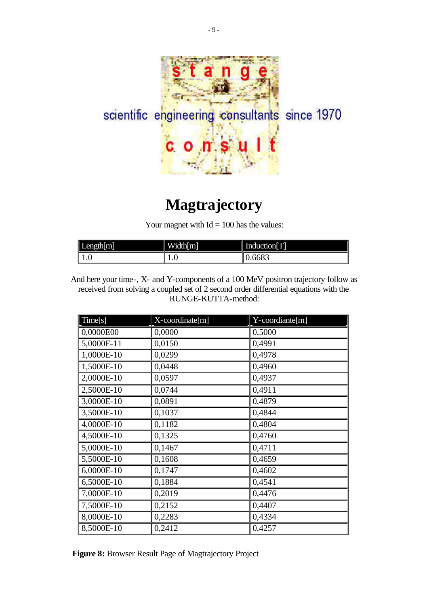

# **Magtrajectory**

Your magnet with  $Id = 100$  has the values:

| $\mathbf r$<br>ı<br>ਨ | <b>TT 75</b><br>l<br>Width   m | Induction[T] |
|-----------------------|--------------------------------|--------------|
| 1.V                   | 1.V                            | ັບບ⊾         |

And here your time-, X- and Y-components of a 100 MeV positron trajectory follow as received from solving a coupled set of 2 second order differential equations with the RUNGE-KUTTA-method:

| Time[s]      | X-coordinate[m] | Y-coordiante[m] |
|--------------|-----------------|-----------------|
| 0,0000E00    | 0,0000          | 0,5000          |
| 5,0000E-11   | 0,0150          | 0,4991          |
| 1,0000E-10   | 0,0299          | 0,4978          |
| 1,5000E-10   | 0,0448          | 0,4960          |
| 2,0000E-10   | 0,0597          | 0,4937          |
| 2,5000E-10   | 0,0744          | 0,4911          |
| 3,0000E-10   | 0,0891          | 0,4879          |
| 3,5000E-10   | 0,1037          | 0,4844          |
| 4,0000E-10   | 0,1182          | 0,4804          |
| 4,5000E-10   | 0,1325          | 0,4760          |
| $5,0000E-10$ | 0,1467          | 0,4711          |
| 5,5000E-10   | 0,1608          | 0,4659          |
| 6,0000E-10   | 0,1747          | 0,4602          |
| 6,5000E-10   | 0,1884          | 0,4541          |
| 7,0000E-10   | 0,2019          | 0,4476          |
| 7,5000E-10   | 0,2152          | 0,4407          |
| 8,0000E-10   | 0,2283          | 0,4334          |
| 8,5000E-10   | 0,2412          | 0,4257          |

**Figure 8:** Browser Result Page of Magtrajectory Project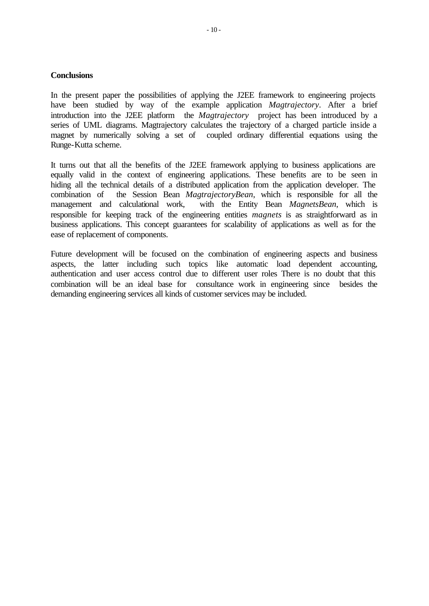#### **Conclusions**

In the present paper the possibilities of applying the J2EE framework to engineering projects have been studied by way of the example application *Magtrajectory*. After a brief introduction into the J2EE platform the *Magtrajectory* project has been introduced by a series of UML diagrams. Magtrajectory calculates the trajectory of a charged particle inside a magnet by numerically solving a set of coupled ordinary differential equations using the Runge-Kutta scheme.

It turns out that all the benefits of the J2EE framework applying to business applications are equally valid in the context of engineering applications. These benefits are to be seen in hiding all the technical details of a distributed application from the application developer. The combination of the Session Bean *MagtrajectoryBean*, which is responsible for all the management and calculational work, with the Entity Bean *MagnetsBean*, which is responsible for keeping track of the engineering entities *magnets* is as straightforward as in business applications. This concept guarantees for scalability of applications as well as for the ease of replacement of components.

Future development will be focused on the combination of engineering aspects and business aspects, the latter including such topics like automatic load dependent accounting, authentication and user access control due to different user roles There is no doubt that this combination will be an ideal base for consultance work in engineering since besides the demanding engineering services all kinds of customer services may be included.